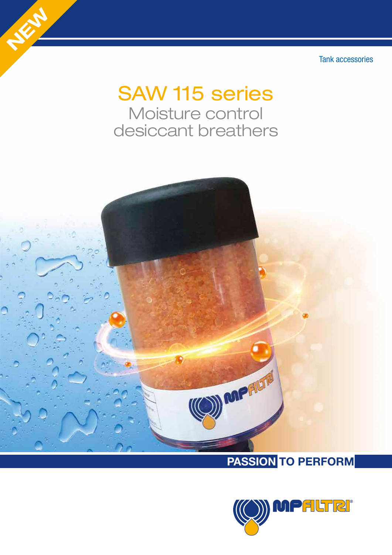Tank accessories

# SAW 115 series Moisture control desiccant breathers

NEW YORK



## PASSION TO PERFORM

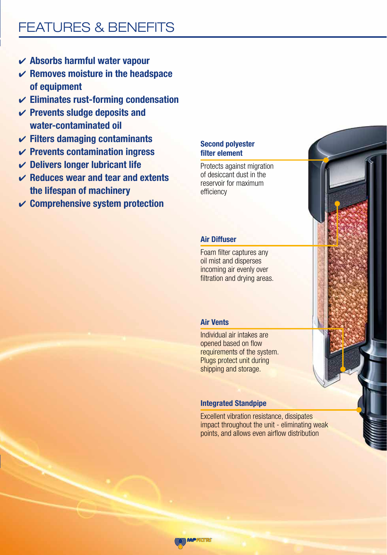# FEATURES & BENEFITS

- $\boldsymbol{\nu}$  Absorbs harmful water vapour
- $\vee$  Removes moisture in the headspace of equipment
- $\checkmark$  Eliminates rust-forming condensation
- $\checkmark$  Prevents sludge deposits and water-contaminated oil
- $\checkmark$  Filters damaging contaminants
- $\vee$  Prevents contamination ingress
- $\vee$  Delivers longer lubricant life
- $\vee$  Reduces wear and tear and extents the lifespan of machinery
- $\vee$  Comprehensive system protection

#### Second polyester filter element

Protects against migration of desiccant dust in the reservoir for maximum efficiency

#### Air Diffuser

Foam filter captures any oil mist and disperses incoming air evenly over filtration and drying areas.

#### Air Vents

Individual air intakes are opened based on flow requirements of the system. Plugs protect unit during shipping and storage.

#### Integrated Standpipe

Excellent vibration resistance, dissipates impact throughout the unit - eliminating weak points, and allows even airflow distribution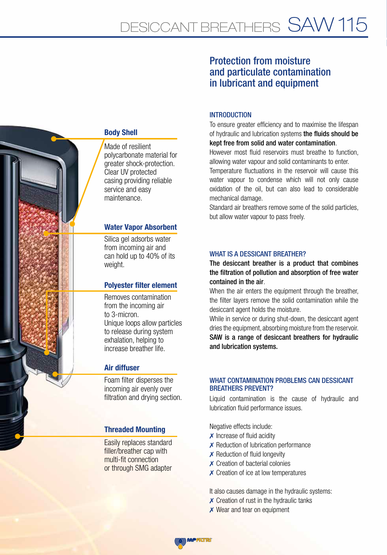#### Made of resilient polycarbonate material for greater shock-protection. Clear UV protected casing providing reliable service and easy Body Shell

maintenance.

#### Water Vapor Absorbent

Silica gel adsorbs water from incoming air and can hold up to 40% of its weight.

#### Polyester filter element

Removes contamination from the incoming air to 3-micron. Unique loops allow particles to release during system exhalation, helping to increase breather life.

#### Air diffuser

Foam filter disperses the incoming air evenly over filtration and drving section.

#### Threaded Mounting

Easily replaces standard filler/breather cap with multi-fit connection or through SMG adapter

#### Protection from moisture and particulate contamination in lubricant and equipment

#### **INTRODUCTION**

To ensure greater efficiency and to maximise the lifespan of hydraulic and lubrication systems the fluids should be kept free from solid and water contamination.

However most fluid reservoirs must breathe to function, allowing water vapour and solid contaminants to enter.

Temperature fluctuations in the reservoir will cause this water vapour to condense which will not only cause oxidation of the oil, but can also lead to considerable mechanical damage.

Standard air breathers remove some of the solid particles, but allow water vapour to pass freely.

#### WHAT IS A DESSICANT BREATHER?

The desiccant breather is a product that combines the filtration of pollution and absorption of free water contained in the air.

When the air enters the equipment through the breather, the filter layers remove the solid contamination while the desiccant agent holds the moisture.

While in service or during shut-down, the desiccant agent dries the equipment, absorbing moisture from the reservoir. SAW is a range of desiccant breathers for hydraulic and lubrication systems.

#### WHAT CONTAMINATION PROBLEMS CAN DESSICANT BREATHERS PREVENT?

Liquid contamination is the cause of hydraulic and lubrication fluid performance issues.

Negative effects include:

- $\times$  Increase of fluid acidity
- ✗ Reduction of lubrication performance
- $\times$  Reduction of fluid longevity
- ✗ Creation of bacterial colonies
- ✗ Creation of ice at low temperatures

It also causes damage in the hydraulic systems:

- ✗ Creation of rust in the hydraulic tanks
- **x** Wear and tear on equipment

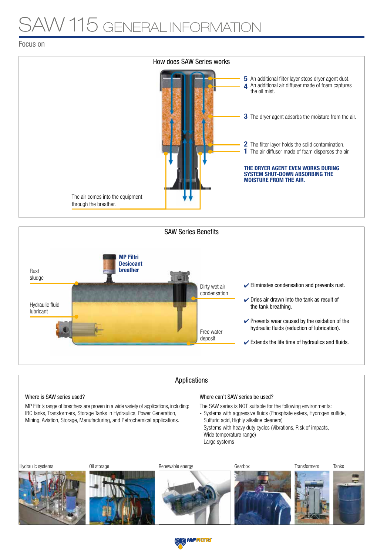# V 115 GENERAL INFORMAT

Focus on





#### Applications

#### Where is SAW series used?

MP Filtri's range of breathers are proven in a wide variety of applications, including: IBC tanks, Transformers, Storage Tanks in Hydraulics, Power Generation, Mining, Aviation, Storage, Manufacturing, and Petrochemical applications.

#### Where can't SAW series be used?

The SAW series is NOT suitable for the following environments:

- Systems with aggressive fluids (Phosphate esters, Hydrogen sulfide, Sulfuric acid, Highly alkaline cleaners)
- Systems with heavy duty cycles (Vibrations, Risk of impacts, Wide temperature range)
- Large systems



(O)) MPFILTRI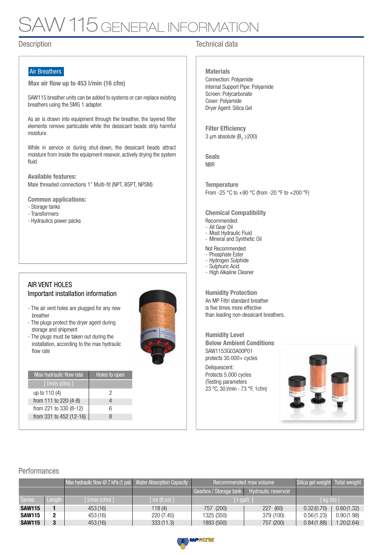# V 115 GENERAL INFORMA

#### Air Breathers

Max air flow up to 453 l/min (16 cfm)

SAW115 breather units can be added to systems or can replace existing breathers using the SMG 1 adapter.

As air is drawn into equipment through the breather, the layered filter elements remove particulate while the dessicant beads strip harmful moisture.

While in service or during shut-down, the dessicant beads attract moisture from inside the equipment resevoir, actively drying the system fluid.

Available features: Male threaded connections 1" Multi-fit (NPT, BSPT, NPSM)

Common applications:

- Storage tanks
- Transformers
- Hydraulics power packs

#### AIR VENT HOLES Important installation information

- The air vent holes are plugged for any new breather
- The plugs protect the dryer agent during storage and shipment
- The plugs must be taken out during the installation, according to the max hydraulic flow rate

| Max hydraulic flow rate | Holes to open |
|-------------------------|---------------|
| $[$ $l/min$ (cfm) $]$   |               |
| up to $110(4)$          | 2             |
| from 111 to 220 (4-8)   |               |
| from 221 to 330 (8-12)  | հ             |
| from 331 to 452 (12-16) | Χ             |
|                         |               |



#### Description **Technical data**

Connection: Polyamide Internal Support Pipe: Polyamide Screen: Polycarbonate Cover: Polyamide Dryer Agent: Silica Gel **Materials** 

3 µm absolute ( $B_3 \ge 200$ ) **Filter Efficiency** 

**NBR** Seals

From -25 °C to +90 °C (from -20 °F to +200 °F) **Temperature** 

Chemical Compatibility

- Recommended:
- All Gear Oil
- Most Hydraulic Fluid - Mineral and Synthetic Oil

Not Recommended:

- Phosphate Ester
- Hydrogen Sulphide
- Sulphuric Acid
- High Alkaline Cleaner

An MP Filtri standard breather is five times more effective than leading non-dessicant breathers. Humidity Protection

SAW1153G03A00P01 protects 30.000+ cycles Deliquescent: Humidity Level Below Ambient Conditions

Protects 5.000 cycles (Testing parameters 23 °C, 30 l/min - 73 °F, 1cfm)



#### Performances

|               |                | Max hydraulic flow $@7$ kPa (1 psi) Water Absorption Capacity |                | Recommended max volume  | Silica gel weight Total weight |             |            |  |
|---------------|----------------|---------------------------------------------------------------|----------------|-------------------------|--------------------------------|-------------|------------|--|
|               |                |                                                               |                | Gearbox / Storage tank  | <b>Hydraulic reservoir</b>     |             |            |  |
| <b>Series</b> | Length         | $\lceil$ I/min (cfm) $\rceil$                                 | [ ml (fl.oz) ] | $\lceil$ (gal) $\lceil$ |                                | [ kg (lb) ] |            |  |
| <b>SAW115</b> |                | 453 (16)                                                      | 118(4)         | 757 (200)               | 227 (60)                       | 0.32(0.70)  | 0.60(1.32) |  |
| <b>SAW115</b> |                | 453 (16)                                                      | 220(7.45)      | 1325 (350)              | 379 (100)                      | 0.56(1.23)  | 0.90(1.98) |  |
| <b>SAW115</b> | $\blacksquare$ | 453 (16)                                                      | 333(11.3)      | 1893 (500)              | 757 (200)                      | 0.84(1.88)  | 1.20(2.64) |  |

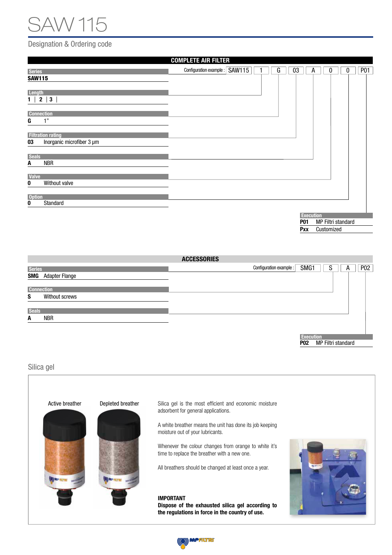# SAW 115

#### Designation & Ordering code

|                                                              | <b>COMPLETE AIR FILTER</b>    |   |    |                                |                                  |   |  |   |            |
|--------------------------------------------------------------|-------------------------------|---|----|--------------------------------|----------------------------------|---|--|---|------------|
| <b>Series</b>                                                | Configuration example: SAW115 | G | 03 |                                | A                                | 0 |  | 0 | <b>P01</b> |
| <b>SAW115</b>                                                |                               |   |    |                                |                                  |   |  |   |            |
|                                                              |                               |   |    |                                |                                  |   |  |   |            |
| <b>Length</b>                                                |                               |   |    |                                |                                  |   |  |   |            |
| $\overline{\phantom{a}}$ 2<br>$\mathbf{3}$<br>1 <sup>1</sup> |                               |   |    |                                |                                  |   |  |   |            |
| <b>Connection</b>                                            |                               |   |    |                                |                                  |   |  |   |            |
| 1"<br>G                                                      |                               |   |    |                                |                                  |   |  |   |            |
|                                                              |                               |   |    |                                |                                  |   |  |   |            |
| <b>Filtration rating</b>                                     |                               |   |    |                                |                                  |   |  |   |            |
| Inorganic microfiber 3 µm<br>03                              |                               |   |    |                                |                                  |   |  |   |            |
|                                                              |                               |   |    |                                |                                  |   |  |   |            |
| <b>Seals</b><br><b>NBR</b><br>A                              |                               |   |    |                                |                                  |   |  |   |            |
|                                                              |                               |   |    |                                |                                  |   |  |   |            |
| <b>Valve</b>                                                 |                               |   |    |                                |                                  |   |  |   |            |
| Without valve<br>0                                           |                               |   |    |                                |                                  |   |  |   |            |
| <b>Option</b>                                                |                               |   |    |                                |                                  |   |  |   |            |
| Standard<br>0                                                |                               |   |    |                                |                                  |   |  |   |            |
|                                                              |                               |   |    |                                |                                  |   |  |   |            |
|                                                              |                               |   |    | <b>Execution</b><br><b>P01</b> |                                  |   |  |   |            |
|                                                              |                               |   |    | Pxx                            | MP Filtri standard<br>Customized |   |  |   |            |

| <b>ACCESSORIES</b> |                       |                                             |     |  |  |  |  |  |
|--------------------|-----------------------|---------------------------------------------|-----|--|--|--|--|--|
| <b>Series</b>      |                       | SMG1<br>Configuration example :  <br>S<br>A | P02 |  |  |  |  |  |
| SMG                | <b>Adapter Flange</b> |                                             |     |  |  |  |  |  |
| <b>Connection</b>  |                       |                                             |     |  |  |  |  |  |
| S                  | Without screws        |                                             |     |  |  |  |  |  |
| <b>Seals</b>       |                       |                                             |     |  |  |  |  |  |
| A                  | <b>NBR</b>            |                                             |     |  |  |  |  |  |
|                    |                       |                                             |     |  |  |  |  |  |
|                    |                       | <b>Execution</b>                            |     |  |  |  |  |  |

P02 MP Filtri standard

Silica gel



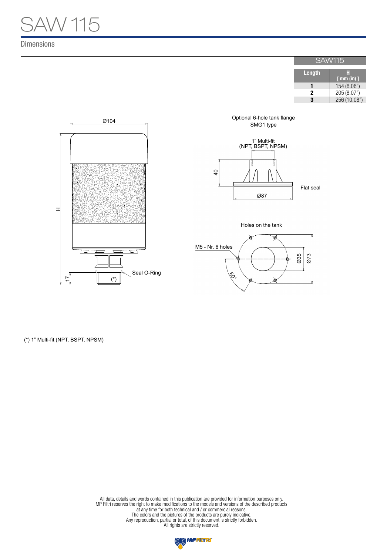